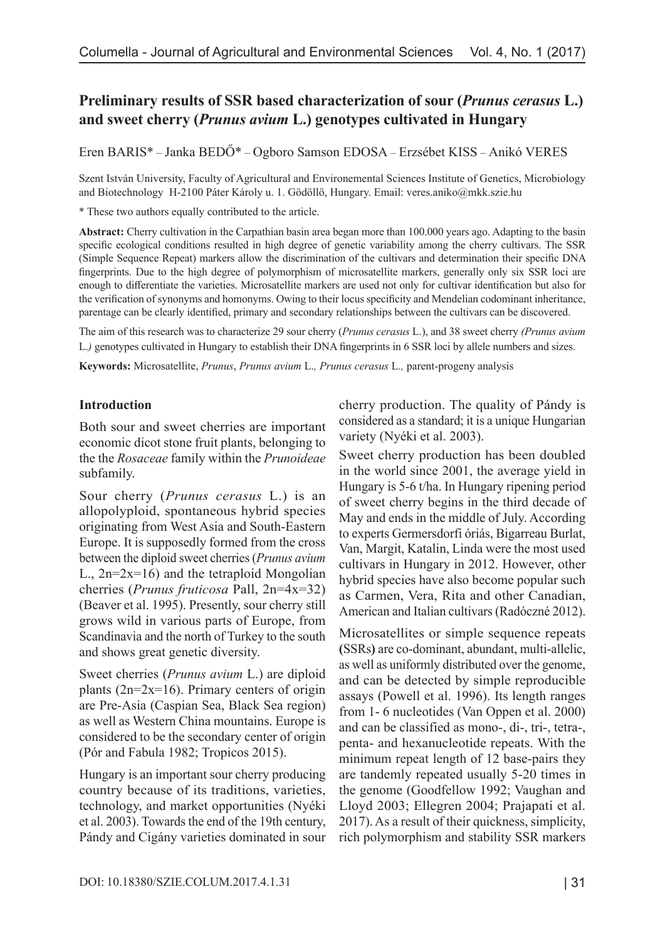# **Preliminary results of SSR based characterization of sour (***Prunus cerasus* **L.) and sweet cherry (***Prunus avium* **L.) genotypes cultivated in Hungary**

Eren BARIS\* – Janka BEDŐ\* – Ogboro Samson EDOSA – Erzsébet KISS – Anikó VERES

Szent István University, Faculty of Agricultural and Environemental Sciences Institute of Genetics, Microbiology and Biotechnology H-2100 Páter Károly u. 1. Gödöllő, Hungary. Email: [veres.aniko@mkk.szie.hu](mailto:veres.aniko@mkk.szie.hu)

\* These two authors equally contributed to the article.

**Abstract:** Cherry cultivation in the Carpathian basin area began more than 100.000 years ago. Adapting to the basin specific ecological conditions resulted in high degree of genetic variability among the cherry cultivars. The SSR (Simple Sequence Repeat) markers allow the discrimination of the cultivars and determination their specific DNA fingerprints. Due to the high degree of polymorphism of microsatellite markers, generally only six SSR loci are enough to differentiate the varieties. Microsatellite markers are used not only for cultivar identification but also for the verification of synonyms and homonyms. Owing to their locus specificity and Mendelian codominant inheritance, parentage can be clearly identified, primary and secondary relationships between the cultivars can be discovered.

The aim of this research was to characterize 29 sour cherry (*Prunus cerasus* L.), and 38 sweet cherry *(Prunus avium*  L.*)* genotypes cultivated in Hungary to establish their DNA fingerprints in 6 SSR loci by allele numbers and sizes.

**Keywords:** Microsatellite, *Prunus*, *Prunus avium* L.*, Prunus cerasus* L*.,* parent-progeny analysis

#### **Introduction**

Both sour and sweet cherries are important economic dicot stone fruit plants, belonging to the the *Rosaceae* family within the *Prunoideae* subfamily.

Sour cherry (*Prunus cerasus* L.) is an allopolyploid, spontaneous hybrid species originating from West Asia and South-Eastern Europe. It is supposedly formed from the cross between the diploid sweet cherries (*Prunus avium* L.,  $2n=2x=16$ ) and the tetraploid Mongolian cherries (*Prunus fruticosa* Pall, 2n=4x=32) (Beaver et al. 1995). Presently, sour cherry still grows wild in various parts of Europe, from Scandinavia and the north of Turkey to the south and shows great genetic diversity.

Sweet cherries (*Prunus avium* L.) are diploid plants  $(2n=2x=16)$ . Primary centers of origin are Pre-Asia (Caspian Sea, Black Sea region) as well as Western China mountains. Europe is considered to be the secondary center of origin (Pór and Fabula 1982; Tropicos 2015).

Hungary is an important sour cherry producing country because of its traditions, varieties, technology, and market opportunities (Nyéki et al. 2003). Towards the end of the 19th century, Pándy and Cigány varieties dominated in sour cherry production. The quality of Pándy is considered as a standard; it is a unique Hungarian variety (Nyéki et al. 2003).

Sweet cherry production has been doubled in the world since 2001, the average yield in Hungary is 5-6 t/ha. In Hungary ripening period of sweet cherry begins in the third decade of May and ends in the middle of July. According to experts Germersdorfi óriás, Bigarreau Burlat, Van, Margit, Katalin, Linda were the most used cultivars in Hungary in 2012. However, other hybrid species have also become popular such as Carmen, Vera, Rita and other Canadian, American and Italian cultivars (Radóczné 2012).

Microsatellites or simple sequence repeats **(**SSRs**)** are co-dominant, abundant, multi-allelic, as well as uniformly distributed over the genome, and can be detected by simple reproducible assays (Powell et al. 1996). Its length ranges from 1- 6 nucleotides (Van Oppen et al. 2000) and can be classified as mono-, di-, tri-, tetra-, penta- and hexanucleotide repeats. With the minimum repeat length of 12 base-pairs they are tandemly repeated usually 5-20 times in the genome (Goodfellow 1992; Vaughan and Lloyd 2003; Ellegren 2004; Prajapati et al. 2017). As a result of their quickness, simplicity, rich polymorphism and stability SSR markers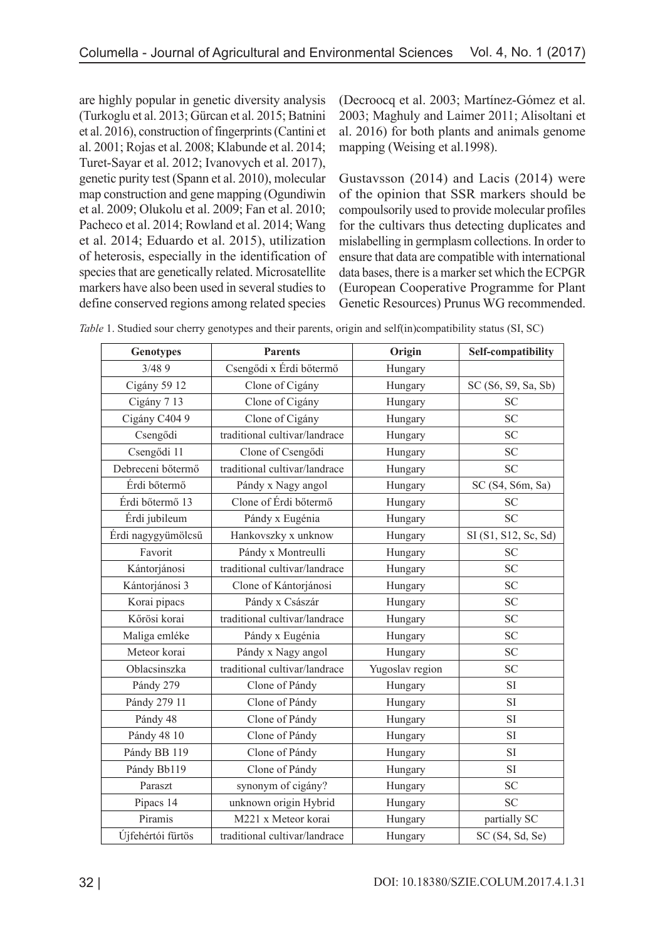are highly popular in genetic diversity analysis (Turkoglu et al. 2013; Gürcan et al. 2015; Batnini et al. 2016), construction of fingerprints (Cantini et al. 2001; Rojas et al. 2008; Klabunde et al. 2014; Turet-Sayar et al. 2012; Ivanovych et al. 2017), genetic purity test (Spann et al. 2010), molecular map construction and gene mapping (Ogundiwin et al. 2009; Olukolu et al. 2009; Fan et al. 2010; Pacheco et al. 2014; Rowland et al. 2014; Wang et al. 2014; Eduardo et al. 2015), utilization of heterosis, especially in the identification of species that are genetically related. Microsatellite markers have also been used in several studies to define conserved regions among related species

(Decroocq et al. 2003; Martínez-Gómez et al. 2003; Maghuly and Laimer 2011; Alisoltani et al. 2016) for both plants and animals genome mapping (Weising et al.1998).

Gustavsson (2014) and Lacis (2014) were of the opinion that SSR markers should be compoulsorily used to provide molecular profiles for the cultivars thus detecting duplicates and mislabelling in germplasm collections. In order to ensure that data are compatible with international data bases, there is a marker set which the ECPGR (European Cooperative Programme for Plant Genetic Resources) Prunus WG recommended.

| <b>Genotypes</b>   | <b>Parents</b>                | Origin          | Self-compatibility   |
|--------------------|-------------------------------|-----------------|----------------------|
| 3/489              | Csengődi x Érdi bőtermő       | Hungary         |                      |
| Cigány 59 12       | Clone of Cigány               | Hungary         | SC (S6, S9, Sa, Sb)  |
| Cigány 713         | Clone of Cigány               | Hungary         | <b>SC</b>            |
| Cigány C404 9      | Clone of Cigány               | Hungary         | <b>SC</b>            |
| Csengődi           | traditional cultivar/landrace | Hungary         | <b>SC</b>            |
| Csengődi 11        | Clone of Csengődi             | Hungary         | <b>SC</b>            |
| Debreceni bőtermő  | traditional cultivar/landrace | Hungary         | <b>SC</b>            |
| Érdi bőtermő       | Pándy x Nagy angol            | Hungary         | SC (S4, S6m, Sa)     |
| Érdi bőtermő 13    | Clone of Érdi bőtermő         | Hungary         | <b>SC</b>            |
| Érdi jubileum      | Pándy x Eugénia               | Hungary         | <b>SC</b>            |
| Érdi nagygyümölcsű | Hankovszky x unknow           | Hungary         | SI (S1, S12, Sc, Sd) |
| Favorit            | Pándy x Montreulli            | Hungary         | <b>SC</b>            |
| Kántorjánosi       | traditional cultivar/landrace | Hungary         | <b>SC</b>            |
| Kántorjánosi 3     | Clone of Kántorjánosi         | Hungary         | <b>SC</b>            |
| Korai pipacs       | Pándy x Császár               | Hungary         | <b>SC</b>            |
| Kőrösi korai       | traditional cultivar/landrace | Hungary         | <b>SC</b>            |
| Maliga emléke      | Pándy x Eugénia               | Hungary         | <b>SC</b>            |
| Meteor korai       | Pándy x Nagy angol            | Hungary         | <b>SC</b>            |
| Oblacsinszka       | traditional cultivar/landrace | Yugoslav region | <b>SC</b>            |
| Pándy 279          | Clone of Pándy                | Hungary         | <b>SI</b>            |
| Pándy 279 11       | Clone of Pándy                | Hungary         | <b>SI</b>            |
| Pándy 48           | Clone of Pándy                | Hungary         | <b>SI</b>            |
| Pándy 48 10        | Clone of Pándy                | Hungary         | <b>SI</b>            |
| Pándy BB 119       | Clone of Pándy                | Hungary         | <b>SI</b>            |
| Pándy Bb119        | Clone of Pándy                | Hungary         | <b>SI</b>            |
| Paraszt            | synonym of cigány?            | Hungary         | <b>SC</b>            |
| Pipacs 14          | unknown origin Hybrid         | Hungary         | <b>SC</b>            |
| Piramis            | M221 x Meteor korai           | Hungary         | partially SC         |
| Újfehértói fürtös  | traditional cultivar/landrace | Hungary         | SC (S4, Sd, Se)      |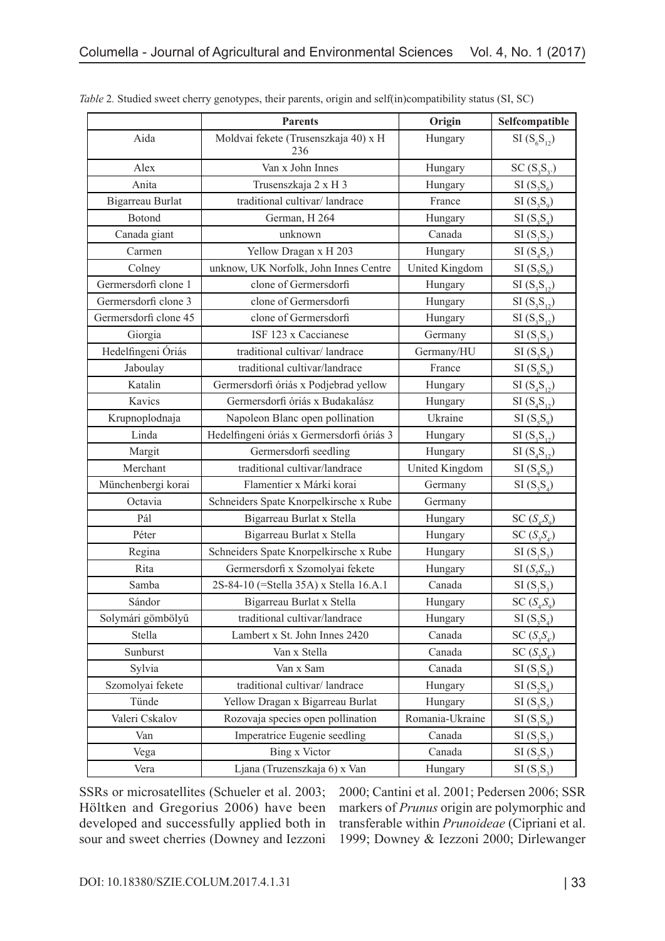|                       | <b>Parents</b>                              | Origin          | Selfcompatible                      |
|-----------------------|---------------------------------------------|-----------------|-------------------------------------|
| Aida                  | Moldvai fekete (Trusenszkaja 40) x H<br>236 | Hungary         | $SI(S_{6}S_{12})$                   |
| Alex                  | Van x John Innes                            | Hungary         | $SC(S_3S_3)$                        |
| Anita                 | Trusenszkaja 2 x H 3                        | Hungary         | $SI(S_{3}S_{6})$                    |
| Bigarreau Burlat      | traditional cultivar/landrace               | France          | $SI(S_3S_9)$                        |
| Botond                | German, H 264                               | Hungary         | $SI(S_3S_4)$                        |
| Canada giant          | unknown                                     | Canada          | SI(S,S <sub>2</sub> )               |
| Carmen                | Yellow Dragan x H 203                       | Hungary         | $SI(S_4S_5)$                        |
| Colney                | unknow, UK Norfolk, John Innes Centre       | United Kingdom  | $SI(S_{5}S_{6})$                    |
| Germersdorfi clone 1  | clone of Germersdorfi                       | Hungary         | $SI(S_3S_{12})$                     |
| Germersdorfi clone 3  | clone of Germersdorfi                       | Hungary         | $SI(S_3S_{12})$                     |
| Germersdorfi clone 45 | clone of Germersdorfi                       | Hungary         | $SI(S_3S_{12})$                     |
| Giorgia               | ISF 123 x Caccianese                        | Germany         | $SI(S_1S_3)$                        |
| Hedelfingeni Óriás    | traditional cultivar/landrace               | Germany/HU      | $SI(S_{3}S_{4})$                    |
| Jaboulay              | traditional cultivar/landrace               | France          | $SI(S_6S_9)$                        |
| Katalin               | Germersdorfi óriás x Podjebrad yellow       | Hungary         | $SI(S_4S_{12})$                     |
| Kavics                | Germersdorfi óriás x Budakalász             | Hungary         | $SI( S_4 S_{12})$                   |
| Krupnoplodnaja        | Napoleon Blanc open pollination             | Ukraine         | $SI(S_{5}S_{9})$                    |
| Linda                 | Hedelfingeni óriás x Germersdorfi óriás 3   | Hungary         | $SI(S_3S_{12})$                     |
| Margit                | Germersdorfi seedling                       | Hungary         | $SI(S_4S_{12})$                     |
| Merchant              | traditional cultivar/landrace               | United Kingdom  | $SI(S_4S_9)$                        |
| Münchenbergi korai    | Flamentier x Márki korai                    | Germany         | $SI(S_3S_4)$                        |
| Octavia               | Schneiders Spate Knorpelkirsche x Rube      | Germany         |                                     |
| Pál                   | Bigarreau Burlat x Stella                   | Hungary         | SC(S <sub>4</sub> ,S <sub>9</sub> ) |
| Péter                 | Bigarreau Burlat x Stella                   | Hungary         | $SC(S_{3}S_{4})$                    |
| Regina                | Schneiders Spate Knorpelkirsche x Rube      | Hungary         | $SI(S_1S_2)$                        |
| Rita                  | Germersdorfi x Szomolyai fekete             | Hungary         | $SI(S_{5}S_{22})$                   |
| Samba                 | 2S-84-10 (=Stella 35A) x Stella 16.A.1      | Canada          | $SI(S_1S_2)$                        |
| Sándor                | Bigarreau Burlat x Stella                   | Hungary         | SC(S <sub>4</sub> ,S <sub>9</sub> ) |
| Solymári gömbölyű     | traditional cultivar/landrace               | Hungary         | $SI(S_3S_4)$                        |
| Stella                | Lambert x St. John Innes 2420               | Canada          | $SC(S_{3}S_{4})$                    |
| Sunburst              | Van x Stella                                | Canada          | $SC(S_{3}S_{4})$                    |
| Sylvia                | Van x Sam                                   | Canada          | $SI(S_1S_4)$                        |
| Szomolyai fekete      | traditional cultivar/landrace               | Hungary         | $SI(S_2S_4)$                        |
| Tünde                 | Yellow Dragan x Bigarreau Burlat            | Hungary         | $SI(S_3S_5)$                        |
| Valeri Cskalov        | Rozovaja species open pollination           | Romania-Ukraine | $SI(S_1S_9)$                        |
| Van                   | Imperatrice Eugenie seedling                | Canada          | $SI(S_1S_2)$                        |
| Vega                  | Bing x Victor                               | Canada          | $SI(S_2S_3)$                        |
| Vera                  | Ljana (Truzenszkaja 6) x Van                | Hungary         | $SI(S_1S_2)$                        |

*Table* 2*.* Studied sweet cherry genotypes, their parents, origin and self(in)compatibility status (SI, SC)

SSRs or microsatellites (Schueler et al. 2003; Höltken and Gregorius 2006) have been developed and successfully applied both in sour and sweet cherries (Downey and Iezzoni 2000; Cantini et al. 2001; Pedersen 2006; SSR markers of *Prunus* origin are polymorphic and transferable within *Prunoideae* (Cipriani et al. 1999; Downey & Iezzoni 2000; Dirlewanger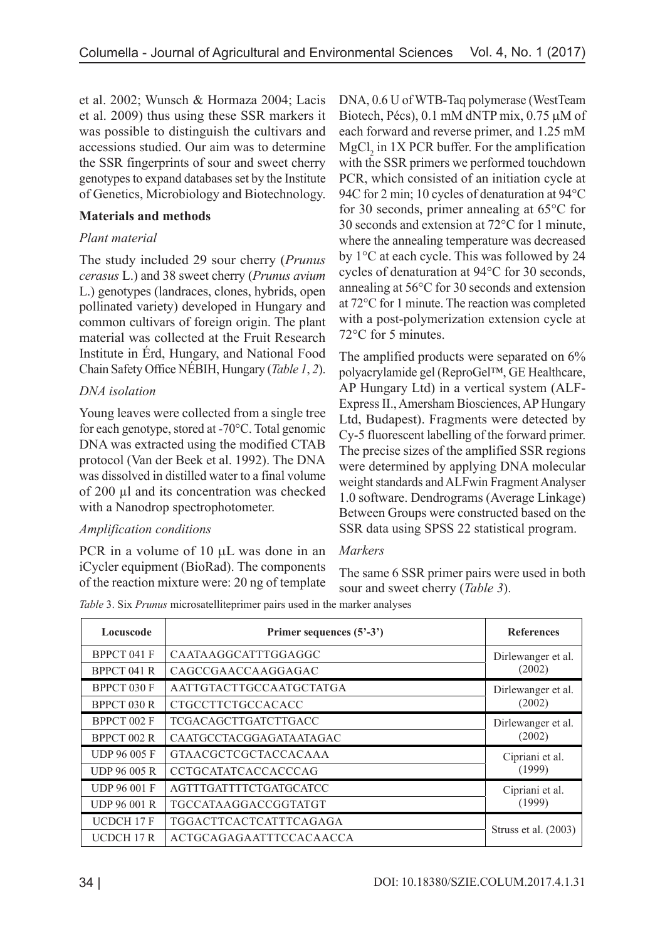et al. 2002; Wunsch & Hormaza 2004; Lacis et al. 2009) thus using these SSR markers it was possible to distinguish the cultivars and accessions studied. Our aim was to determine the SSR fingerprints of sour and sweet cherry genotypes to expand databases set by the Institute of Genetics, Microbiology and Biotechnology.

### **Materials and methods**

### *Plant material*

The study included 29 sour cherry (*Prunus cerasus* L.) and 38 sweet cherry (*Prunus avium* L.) genotypes (landraces, clones, hybrids, open pollinated variety) developed in Hungary and common cultivars of foreign origin. The plant material was collected at the Fruit Research Institute in Érd, Hungary, and National Food Chain Safety Office NÉBIH, Hungary (*Table 1*, *2*).

# *DNA isolation*

Young leaves were collected from a single tree for each genotype, stored at -70°C. Total genomic DNA was extracted using the modified CTAB protocol (Van der Beek et al. 1992). The DNA was dissolved in distilled water to a final volume of 200 µl and its concentration was checked with a Nanodrop spectrophotometer.

### *Amplification conditions*

PCR in a volume of 10  $\mu$ L was done in an iCycler equipment (BioRad). The components of the reaction mixture were: 20 ng of template DNA, 0.6 U of WTB-Taq polymerase (WestTeam Biotech, Pécs), 0.1 mM dNTP mix, 0.75 µM of each forward and reverse primer, and 1.25 mM  $MgCl<sub>2</sub>$  in 1X PCR buffer. For the amplification with the SSR primers we performed touchdown PCR, which consisted of an initiation cycle at 94C for 2 min; 10 cycles of denaturation at 94°C for 30 seconds, primer annealing at 65°C for 30 seconds and extension at 72°C for 1 minute, where the annealing temperature was decreased by 1°C at each cycle. This was followed by 24 cycles of denaturation at 94°C for 30 seconds, annealing at 56°C for 30 seconds and extension at 72°C for 1 minute. The reaction was completed with a post-polymerization extension cycle at 72°C for 5 minutes.

The amplified products were separated on 6% polyacrylamide gel (ReproGel™, GE Healthcare, AP Hungary Ltd) in a vertical system (ALF-Express II., Amersham Biosciences, AP Hungary Ltd, Budapest). Fragments were detected by Cy-5 fluorescent labelling of the forward primer. The precise sizes of the amplified SSR regions were determined by applying DNA molecular weight standards and ALFwin Fragment Analyser 1.0 software. Dendrograms (Average Linkage) Between Groups were constructed based on the SSR data using SPSS 22 statistical program.

### *Markers*

The same 6 SSR primer pairs were used in both sour and sweet cherry (*Table 3*).

| Table 3. Six Prunus microsatelliteprimer pairs used in the marker analyses |  |  |  |  |  |
|----------------------------------------------------------------------------|--|--|--|--|--|
|----------------------------------------------------------------------------|--|--|--|--|--|

| Locuscode           | Primer sequences (5'-3')      | <b>References</b>    |
|---------------------|-------------------------------|----------------------|
| BPPCT 041 F         | CAATAAGGCATTTGGAGGC           | Dirlewanger et al.   |
| BPPCT 041 R         | CAGCCGAACCAAGGAGAC            | (2002)               |
| BPPCT 030 F         | AATTGTACTTGCCAATGCTATGA       | Dirlewanger et al.   |
| BPPCT 030 R         | CTGCCTTCTGCCACACC             | (2002)               |
| BPPCT 002 F         | <b>TCGACAGCTTGATCTTGACC</b>   | Dirlewanger et al.   |
| BPPCT 002 R         | CAATGCCTACGGAGATAATAGAC       | (2002)               |
| <b>UDP 96 005 F</b> | <b>GTAACGCTCGCTACCACAAA</b>   | Cipriani et al.      |
| <b>UDP 96 005 R</b> | <b>CCTGCATATCACCACCCAG</b>    | (1999)               |
| <b>UDP 96 001 F</b> | AGTTTGATTTTCTGATGCATCC        | Cipriani et al.      |
| <b>UDP 96 001 R</b> | <b>TGCCATAAGGACCGGTATGT</b>   | (1999)               |
| <b>UCDCH 17 F</b>   | <b>TGGACTTCACTCATTTCAGAGA</b> |                      |
| <b>UCDCH 17 R</b>   | ACTGCAGAGAATTTCCACAACCA       | Struss et al. (2003) |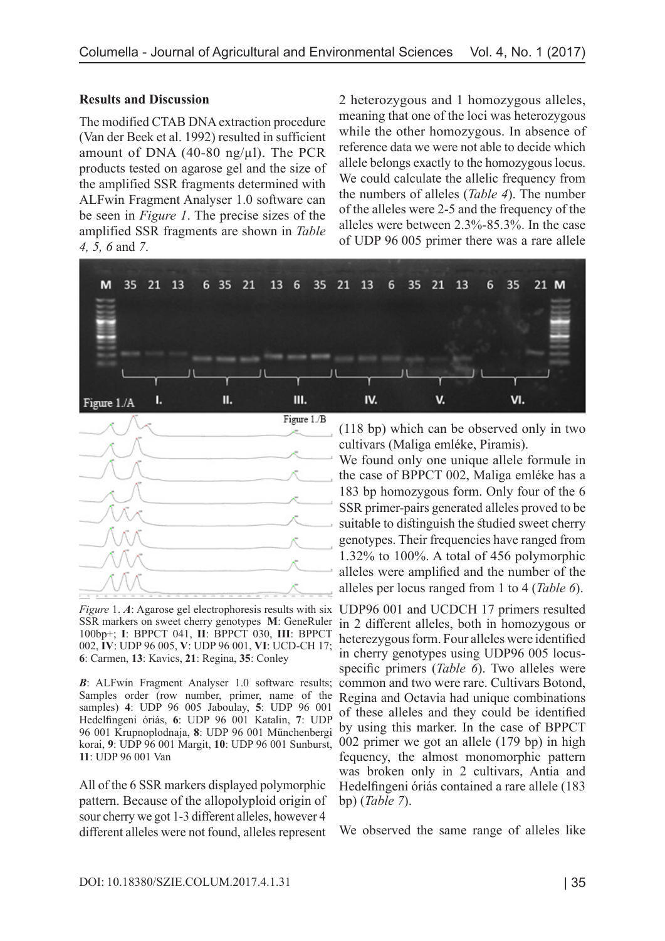#### **Results and Discussion**

The modified CTAB DNA extraction procedure (Van der Beek et al. 1992) resulted in sufficient amount of DNA  $(40-80 \text{ ng/u}$ ). The PCR products tested on agarose gel and the size of the amplified SSR fragments determined with ALFwin Fragment Analyser 1.0 software can be seen in *Figure 1*. The precise sizes of the amplified SSR fragments are shown in *Table 4, 5, 6* and *7*.

2 heterozygous and 1 homozygous alleles, meaning that one of the loci was heterozygous while the other homozygous. In absence of reference data we were not able to decide which allele belongs exactly to the homozygous locus. We could calculate the allelic frequency from the numbers of alleles (*Table 4*). The number of the alleles were 2-5 and the frequency of the alleles were between 2.3%-85.3%. In the case of UDP 96 005 primer there was a rare allele





Figure 1. A: Agarose gel electrophoresis results with six UDP96 001 and UCDCH 17 primers resulted SSR markers on sweet cherry genotypes **M**: GeneRuler 100bp+; **I**: BPPCT 041, **II**: BPPCT 030, **III**: BPPCT 002, **IV**: UDP 96 005, **V**: UDP 96 001, **VI**: UCD-CH 17; **6**: Carmen, **13**: Kavics, **21**: Regina, **35**: Conley

*B*: ALFwin Fragment Analyser 1.0 software results; Samples order (row number, primer, name of the samples) **4**: UDP 96 005 Jaboulay, **5**: UDP 96 001 Hedelfingeni óriás, **6**: UDP 96 001 Katalin, **7**: UDP 96 001 Krupnoplodnaja, **8**: UDP 96 001 Münchenbergi korai, **9**: UDP 96 001 Margit, **10**: UDP 96 001 Sunburst, **11**: UDP 96 001 Van

All of the 6 SSR markers displayed polymorphic pattern. Because of the allopolyploid origin of sour cherry we got 1-3 different alleles, however 4 different alleles were not found, alleles represent

(118 bp) which can be observed only in two cultivars (Maliga emléke, Piramis).

We found only one unique allele formule in the case of BPPCT 002, Maliga emléke has a 183 bp homozygous form. Only four of the 6 SSR primer-pairs generated alleles proved to be suitable to distinguish the studied sweet cherry genotypes. Their frequencies have ranged from 1.32% to 100%. A total of 456 polymorphic alleles were amplified and the number of the alleles per locus ranged from 1 to 4 (*Table 6*).

in 2 different alleles, both in homozygous or heterezygous form. Four alleles were identified in cherry genotypes using UDP96 005 locusspecific primers (*Table 6*). Two alleles were common and two were rare. Cultivars Botond, Regina and Octavia had unique combinations of these alleles and they could be identified by using this marker. In the case of BPPCT 002 primer we got an allele (179 bp) in high fequency, the almost monomorphic pattern was broken only in 2 cultivars, Antia and Hedelfingeni óriás contained a rare allele (183 bp) (*Table 7*).

We observed the same range of alleles like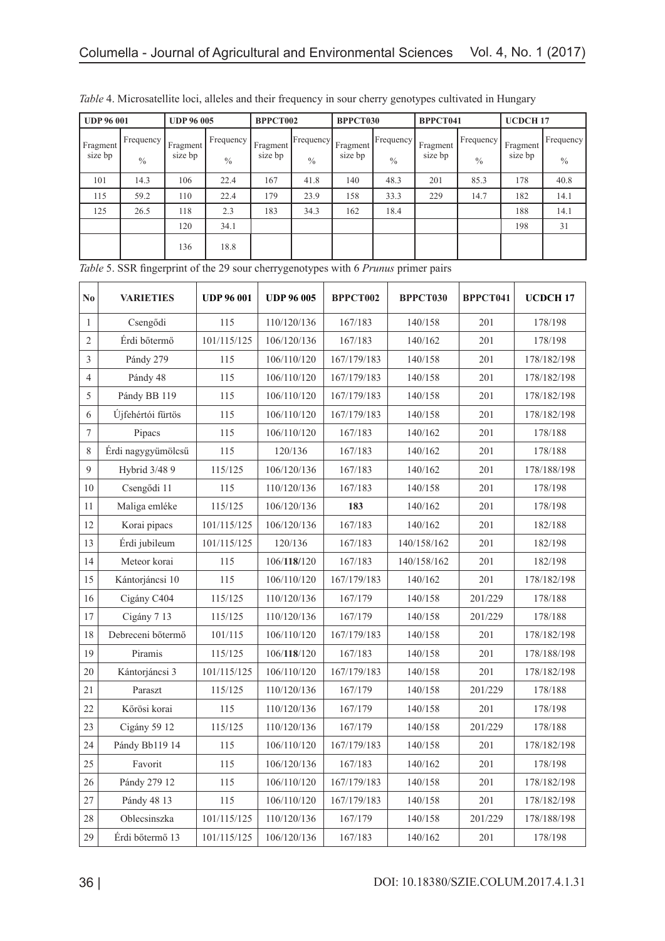| <b>UDP 96 001</b>                |                            | <b>UDP 96 005</b>   |                            | BPPCT002             |                              | <b>BPPCT030</b>      |                              | BPPCT041            |                            | <b>UCDCH17</b>      |                            |
|----------------------------------|----------------------------|---------------------|----------------------------|----------------------|------------------------------|----------------------|------------------------------|---------------------|----------------------------|---------------------|----------------------------|
| Fragment <sup>1</sup><br>size bp | Frequency<br>$\frac{0}{0}$ | Fragment<br>size bp | Frequency<br>$\frac{0}{0}$ | Fragment'<br>size bp | [Frequency]<br>$\frac{0}{0}$ | Fragment'<br>size bp | [Frequency]<br>$\frac{0}{0}$ | Fragment<br>size bp | Frequency<br>$\frac{0}{0}$ | Fragment<br>size bp | Frequency<br>$\frac{0}{0}$ |
| 101                              | 14.3                       | 106                 | 22.4                       | 167                  | 41.8                         | 140                  | 48.3                         | 201                 | 85.3                       | 178                 | 40.8                       |
| 115                              | 59.2                       | 110                 | 22.4                       | 179                  | 23.9                         | 158                  | 33.3                         | 229                 | 14.7                       | 182                 | 14.1                       |
| 125                              | 26.5                       | 118                 | 2.3                        | 183                  | 34.3                         | 162                  | 18.4                         |                     |                            | 188                 | 14.1                       |
|                                  |                            | 120                 | 34.1                       |                      |                              |                      |                              |                     |                            | 198                 | 31                         |
|                                  |                            | 136                 | 18.8                       |                      |                              |                      |                              |                     |                            |                     |                            |

| Table 4. Microsatellite loci, alleles and their frequency in sour cherry genotypes cultivated in Hungary |  |  |  |
|----------------------------------------------------------------------------------------------------------|--|--|--|
|----------------------------------------------------------------------------------------------------------|--|--|--|

|  | Table 5. SSR fingerprint of the 29 sour cherrygenotypes with 6 Prunus primer pairs |  |  |  |  |  |  |
|--|------------------------------------------------------------------------------------|--|--|--|--|--|--|
|  |                                                                                    |  |  |  |  |  |  |
|  |                                                                                    |  |  |  |  |  |  |
|  |                                                                                    |  |  |  |  |  |  |

| N <sub>0</sub>   | <b>VARIETIES</b>   | <b>UDP 96 001</b> | <b>UDP 96 005</b> | BPPCT002    | BPPCT030    | BPPCT041 | UCDCH <sub>17</sub> |
|------------------|--------------------|-------------------|-------------------|-------------|-------------|----------|---------------------|
| 1                | Csengődi           | 115               | 110/120/136       | 167/183     | 140/158     | 201      | 178/198             |
| $\overline{2}$   | Érdi bőtermő       | 101/115/125       | 106/120/136       | 167/183     | 140/162     | 201      | 178/198             |
| 3                | Pándy 279          | 115               | 106/110/120       | 167/179/183 | 140/158     | 201      | 178/182/198         |
| $\overline{4}$   | Pándy 48           | 115               | 106/110/120       | 167/179/183 | 140/158     | 201      | 178/182/198         |
| 5                | Pándy BB 119       | 115               | 106/110/120       | 167/179/183 | 140/158     | 201      | 178/182/198         |
| 6                | Újfehértói fürtös  | 115               | 106/110/120       | 167/179/183 | 140/158     | 201      | 178/182/198         |
| $\boldsymbol{7}$ | Pipacs             | 115               | 106/110/120       | 167/183     | 140/162     | 201      | 178/188             |
| $\,$ 8 $\,$      | Érdi nagygyümölcsű | 115               | 120/136           | 167/183     | 140/162     | 201      | 178/188             |
| 9                | Hybrid 3/48 9      | 115/125           | 106/120/136       | 167/183     | 140/162     | 201      | 178/188/198         |
| 10               | Csengődi 11        | 115               | 110/120/136       | 167/183     | 140/158     | 201      | 178/198             |
| 11               | Maliga emléke      | 115/125           | 106/120/136       | 183         | 140/162     | 201      | 178/198             |
| 12               | Korai pipacs       | 101/115/125       | 106/120/136       | 167/183     | 140/162     | 201      | 182/188             |
| 13               | Érdi jubileum      | 101/115/125       | 120/136           | 167/183     | 140/158/162 | 201      | 182/198             |
| 14               | Meteor korai       | 115               | 106/118/120       | 167/183     | 140/158/162 | 201      | 182/198             |
| 15               | Kántorjáncsi 10    | 115               | 106/110/120       | 167/179/183 | 140/162     | 201      | 178/182/198         |
| 16               | Cigány C404        | 115/125           | 110/120/136       | 167/179     | 140/158     | 201/229  | 178/188             |
| 17               | Cigány 7 13        | 115/125           | 110/120/136       | 167/179     | 140/158     | 201/229  | 178/188             |
| 18               | Debreceni bőtermő  | 101/115           | 106/110/120       | 167/179/183 | 140/158     | 201      | 178/182/198         |
| 19               | Piramis            | 115/125           | 106/118/120       | 167/183     | 140/158     | 201      | 178/188/198         |
| 20               | Kántorjáncsi 3     | 101/115/125       | 106/110/120       | 167/179/183 | 140/158     | 201      | 178/182/198         |
| 21               | Paraszt            | 115/125           | 110/120/136       | 167/179     | 140/158     | 201/229  | 178/188             |
| 22               | Kőrösi korai       | 115               | 110/120/136       | 167/179     | 140/158     | 201      | 178/198             |
| 23               | Cigány 59 12       | 115/125           | 110/120/136       | 167/179     | 140/158     | 201/229  | 178/188             |
| 24               | Pándy Bb119 14     | 115               | 106/110/120       | 167/179/183 | 140/158     | 201      | 178/182/198         |
| 25               | Favorit            | 115               | 106/120/136       | 167/183     | 140/162     | 201      | 178/198             |
| 26               | Pándy 279 12       | 115               | 106/110/120       | 167/179/183 | 140/158     | 201      | 178/182/198         |
| 27               | Pándy 48 13        | 115               | 106/110/120       | 167/179/183 | 140/158     | 201      | 178/182/198         |
| 28               | Oblecsinszka       | 101/115/125       | 110/120/136       | 167/179     | 140/158     | 201/229  | 178/188/198         |
| 29               | Érdi bőtermő 13    | 101/115/125       | 106/120/136       | 167/183     | 140/162     | 201      | 178/198             |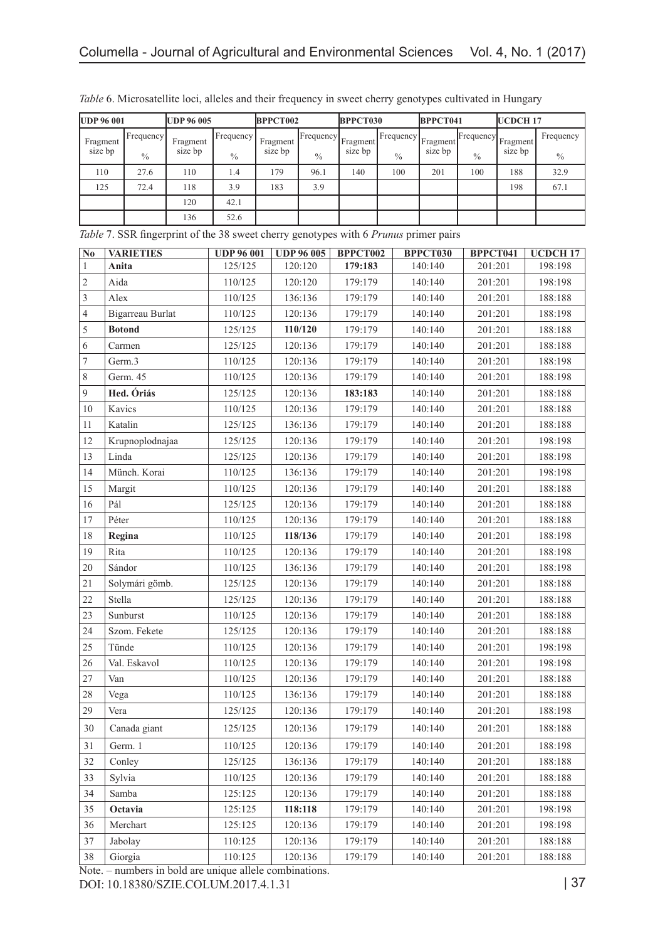| <b>UDP 96 001</b> |               | <b>UDP 96 005</b> |                    | BPPCT002 |               | BPPCT030 |               | BPPCT041 |               | UCDCH <sub>17</sub> |           |
|-------------------|---------------|-------------------|--------------------|----------|---------------|----------|---------------|----------|---------------|---------------------|-----------|
| Fragment          | [Frequency]   | Fragment          | <b>I</b> Frequency | Fragment | Frequency     | Fragment | [Frequency]   | Fragment | Frequency     | Fragment            | Frequency |
| size bp           | $\frac{0}{0}$ | size bp           | $\frac{0}{0}$      | size bp  | $\frac{0}{0}$ | size bp  | $\frac{0}{0}$ | size bp  | $\frac{0}{0}$ | size bp             | $\%$      |
| 110               | 27.6          | 110               | .4                 | 179      | 96.1          | 140      | 100           | 201      | 100           | 188                 | 32.9      |
| 125               | 72.4          | 118               | 3.9                | 183      | 3.9           |          |               |          |               | 198                 | 67.1      |
|                   |               | 120               | 42.1               |          |               |          |               |          |               |                     |           |
|                   |               | 136               | 52.6               |          |               |          |               |          |               |                     |           |

*Table* 6. Microsatellite loci, alleles and their frequency in sweet cherry genotypes cultivated in Hungary

*Table* 7. SSR fingerprint of the 38 sweet cherry genotypes with 6 *Prunus* primer pairs

| N <sub>0</sub>   | <b>VARIETIES</b> | <b>UDP 96 001</b> | <b>UDP 96 005</b> | BPPCT002 | <b>BPPCT030</b> | BPPCT041 | <b>UCDCH17</b> |
|------------------|------------------|-------------------|-------------------|----------|-----------------|----------|----------------|
| $\mathbf{1}$     | Anita            | 125/125           | 120:120           | 179:183  | 140:140         | 201:201  | 198:198        |
| $\overline{c}$   | Aida             | 110/125           | 120:120           | 179:179  | 140:140         | 201:201  | 198:198        |
| 3                | Alex             | 110/125           | 136:136           | 179:179  | 140:140         | 201:201  | 188:188        |
| 4                | Bigarreau Burlat | 110/125           | 120:136           | 179:179  | 140:140         | 201:201  | 188:198        |
| 5                | <b>Botond</b>    | 125/125           | 110/120           | 179:179  | 140:140         | 201:201  | 188:188        |
| 6                | Carmen           | 125/125           | 120:136           | 179:179  | 140:140         | 201:201  | 188:188        |
| $\boldsymbol{7}$ | Germ.3           | 110/125           | 120:136           | 179:179  | 140:140         | 201:201  | 188:198        |
| 8                | Germ. 45         | 110/125           | 120:136           | 179:179  | 140:140         | 201:201  | 188:198        |
| 9                | Hed. Óriás       | 125/125           | 120:136           | 183:183  | 140:140         | 201:201  | 188:188        |
| 10               | Kavics           | 110/125           | 120:136           | 179:179  | 140:140         | 201:201  | 188:188        |
| 11               | Katalin          | 125/125           | 136:136           | 179:179  | 140:140         | 201:201  | 188:188        |
| 12               | Krupnoplodnajaa  | 125/125           | 120:136           | 179:179  | 140:140         | 201:201  | 198:198        |
| 13               | Linda            | 125/125           | 120:136           | 179:179  | 140:140         | 201:201  | 188:198        |
| 14               | Münch. Korai     | 110/125           | 136:136           | 179:179  | 140:140         | 201:201  | 198:198        |
| 15               | Margit           | 110/125           | 120:136           | 179:179  | 140:140         | 201:201  | 188:188        |
| 16               | Pál              | 125/125           | 120:136           | 179:179  | 140:140         | 201:201  | 188:188        |
| 17               | Péter            | 110/125           | 120:136           | 179:179  | 140:140         | 201:201  | 188:188        |
| 18               | Regina           | 110/125           | 118/136           | 179:179  | 140:140         | 201:201  | 188:198        |
| 19               | Rita             | 110/125           | 120:136           | 179:179  | 140:140         | 201:201  | 188:198        |
| 20               | Sándor           | 110/125           | 136:136           | 179:179  | 140:140         | 201:201  | 188:198        |
| 21               | Solymári gömb.   | 125/125           | 120:136           | 179:179  | 140:140         | 201:201  | 188:188        |
| 22               | Stella           | 125/125           | 120:136           | 179:179  | 140:140         | 201:201  | 188:188        |
| 23               | Sunburst         | 110/125           | 120:136           | 179:179  | 140:140         | 201:201  | 188:188        |
| 24               | Szom. Fekete     | 125/125           | 120:136           | 179:179  | 140:140         | 201:201  | 188:188        |
| 25               | Tünde            | 110/125           | 120:136           | 179:179  | 140:140         | 201:201  | 198:198        |
| 26               | Val. Eskavol     | 110/125           | 120:136           | 179:179  | 140:140         | 201:201  | 198:198        |
| 27               | Van              | 110/125           | 120:136           | 179:179  | 140:140         | 201:201  | 188:188        |
| 28               | Vega             | 110/125           | 136:136           | 179:179  | 140:140         | 201:201  | 188:188        |
| 29               | Vera             | 125/125           | 120:136           | 179:179  | 140:140         | 201:201  | 188:198        |
| 30               | Canada giant     | 125/125           | 120:136           | 179:179  | 140:140         | 201:201  | 188:188        |
| 31               | Germ. 1          | 110/125           | 120:136           | 179:179  | 140:140         | 201:201  | 188:198        |
| 32               | Conley           | 125/125           | 136:136           | 179:179  | 140:140         | 201:201  | 188:188        |
| 33               | Sylvia           | 110/125           | 120:136           | 179:179  | 140:140         | 201:201  | 188:188        |
| 34               | Samba            | 125:125           | 120:136           | 179:179  | 140:140         | 201:201  | 188:188        |
| 35               | Octavia          | 125:125           | 118:118           | 179:179  | 140:140         | 201:201  | 198:198        |
| 36               | Merchart         | 125:125           | 120:136           | 179:179  | 140:140         | 201:201  | 198:198        |
| 37               | Jabolay          | 110:125           | 120:136           | 179:179  | 140:140         | 201:201  | 188:188        |
| 38               | Giorgia          | 110:125           | 120:136           | 179:179  | 140:140         | 201:201  | 188:188        |

Note. – numbers in bold are unique allele combinations.

DOI: 10.18380/SZIE.COLUM.2017.4.1.31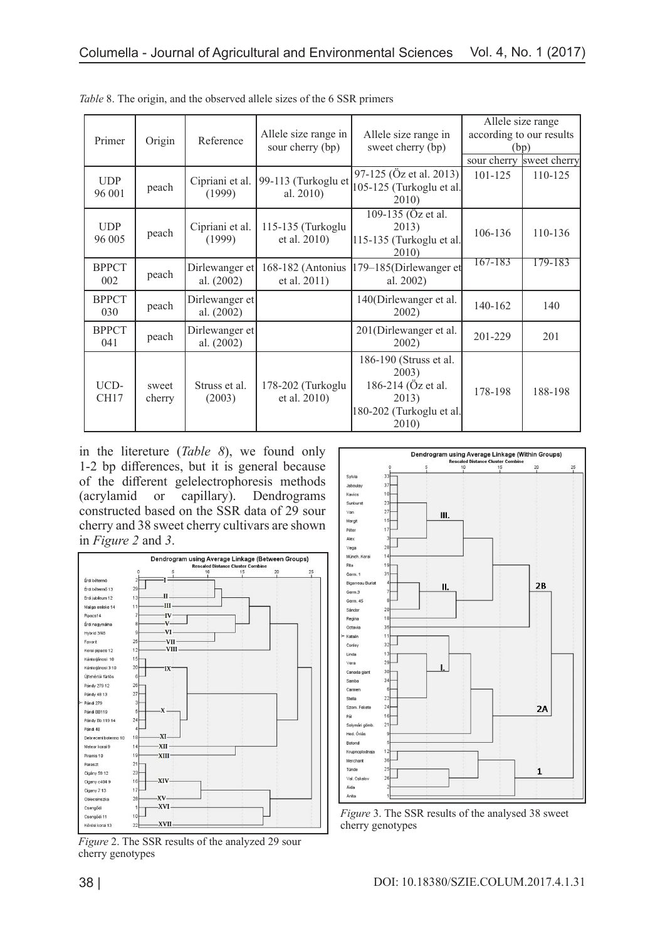| Primer               | Origin          | Reference                    | Allele size range in<br>sour cherry (bp) | Allele size range in<br>sweet cherry (bp)                                                           | Allele size range<br>according to our results | (bp)<br>sour cherry sweet cherry |
|----------------------|-----------------|------------------------------|------------------------------------------|-----------------------------------------------------------------------------------------------------|-----------------------------------------------|----------------------------------|
| <b>UDP</b><br>96 001 | peach           | Cipriani et al.<br>(1999)    | 99-113 (Turkoglu et<br>al. 2010)         | 97-125 (Öz et al. 2013)<br>105-125 (Turkoglu et al.<br>2010)                                        | $101 - 125$                                   | 110-125                          |
| <b>UDP</b><br>96 005 | peach           | Cipriani et al.<br>(1999)    | 115-135 (Turkoglu<br>et al. 2010)        | 109-135 (Öz et al.<br>2013)<br>115-135 (Turkoglu et al.<br>2010)                                    | 106-136                                       | 110-136                          |
| <b>BPPCT</b><br>002  | peach           | Dirlewanger et<br>al. (2002) | 168-182 (Antonius<br>et al. 2011)        | $179 - 185$ (Dirlewanger et<br>al. 2002)                                                            | 167-183                                       | 179-183                          |
| <b>BPPCT</b><br>030  | peach           | Dirlewanger et<br>al. (2002) |                                          | 140(Dirlewanger et al.<br>2002)                                                                     | 140-162                                       | 140                              |
| <b>BPPCT</b><br>041  | peach           | Dirlewanger et<br>al. (2002) |                                          | 201(Dirlewanger et al.<br>2002)                                                                     | 201-229                                       | 201                              |
| UCD-<br>CH17         | sweet<br>cherry | Struss et al.<br>(2003)      | 178-202 (Turkoglu<br>et al. 2010)        | 186-190 (Struss et al.<br>2003)<br>186-214 (Öz et al.<br>2013)<br>180-202 (Turkoglu et al.<br>2010) | 178-198                                       | 188-198                          |

*Table* 8. The origin, and the observed allele sizes of the 6 SSR primers

in the litereture (*Table 8*), we found only 1-2 bp differences, but it is general because of the different gelelectrophoresis methods (acrylamid or capillary). Dendrograms constructed based on the SSR data of 29 sour cherry and 38 sweet cherry cultivars are shown in *Figure 2* and *3*.



*Figure* 2. The SSR results of the analyzed 29 sour cherry genotypes



*Figure* 3. The SSR results of the analysed 38 sweet cherry genotypes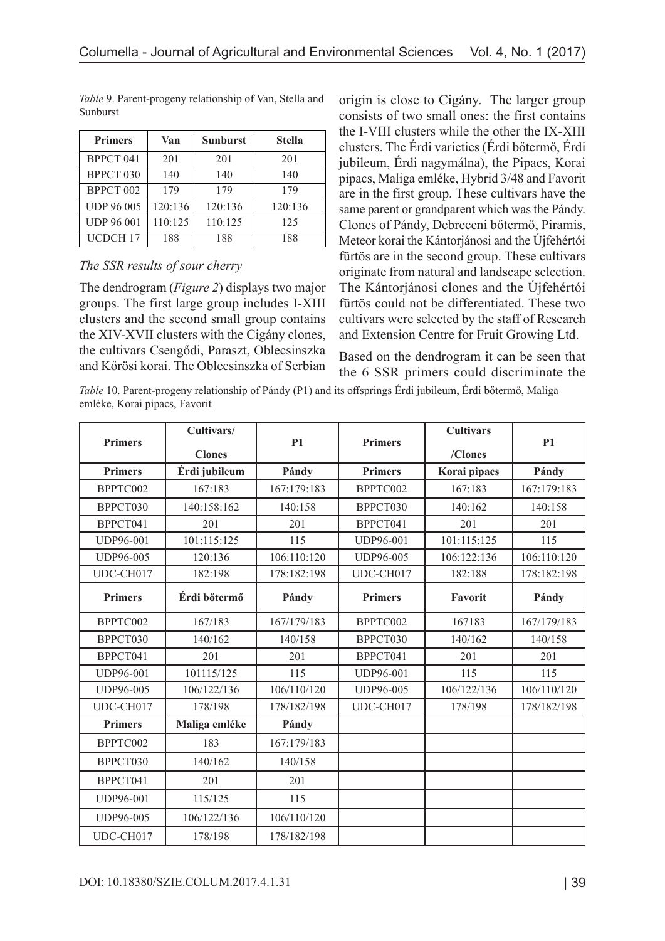| <b>Primers</b>    | Van     | <b>Sunburst</b> | <b>Stella</b> |
|-------------------|---------|-----------------|---------------|
| BPPCT 041         | 201     | 201             | 201           |
| BPPCT 030         | 140     | 140             | 140           |
| BPPCT 002         | 179     | 179             | 179           |
| <b>UDP 96 005</b> | 120:136 | 120:136         | 120:136       |
| <b>UDP 96 001</b> | 110:125 | 110:125         | 125           |
| UCDCH 17          | 188     | 188             | 188           |

*Table* 9. Parent-progeny relationship of Van, Stella and Sunburst

### *The SSR results of sour cherry*

The dendrogram (*Figure 2*) displays two major groups. The first large group includes I-XIII clusters and the second small group contains the XIV-XVII clusters with the Cigány clones, the cultivars Csengődi, Paraszt, Oblecsinszka and Kőrösi korai. The Oblecsinszka of Serbian

origin is close to Cigány. The larger group consists of two small ones: the first contains the I-VIII clusters while the other the IX-XIII clusters. The Érdi varieties (Érdi bőtermő, Érdi jubileum, Érdi nagymálna), the Pipacs, Korai pipacs, Maliga emléke, Hybrid 3/48 and Favorit are in the first group. These cultivars have the same parent or grandparent which was the Pándy. Clones of Pándy, Debreceni bőtermő, Piramis, Meteor korai the Kántorjánosi and the Újfehértói fürtös are in the second group. These cultivars originate from natural and landscape selection. The Kántorjánosi clones and the Újfehértói fürtös could not be differentiated. These two cultivars were selected by the staff of Research and Extension Centre for Fruit Growing Ltd.

Based on the dendrogram it can be seen that the 6 SSR primers could discriminate the

*Table* 10. Parent-progeny relationship of Pándy (P1) and its offsprings Érdi jubileum, Érdi bőtermő, Maliga emléke, Korai pipacs, Favorit

|                  | Cultivars/    |                |                | <b>Cultivars</b> |                |
|------------------|---------------|----------------|----------------|------------------|----------------|
| <b>Primers</b>   | <b>Clones</b> | P <sub>1</sub> | <b>Primers</b> | /Clones          | P <sub>1</sub> |
| <b>Primers</b>   | Érdi jubileum | Pándy          | <b>Primers</b> | Korai pipacs     | Pándy          |
| BPPTC002         | 167:183       | 167:179:183    | BPPTC002       | 167:183          | 167:179:183    |
| BPPCT030         | 140:158:162   | 140:158        | BPPCT030       | 140:162          | 140:158        |
| BPPCT041         | 201           | 201            | BPPCT041       | 201              | 201            |
| <b>UDP96-001</b> | 101:115:125   | 115            | UDP96-001      | 101:115:125      | 115            |
| UDP96-005        | 120:136       | 106:110:120    | UDP96-005      | 106:122:136      | 106:110:120    |
| UDC-CH017        | 182:198       | 178:182:198    | UDC-CH017      | 182:188          | 178:182:198    |
| <b>Primers</b>   | Érdi bőtermő  | Pándy          | <b>Primers</b> | Favorit          | Pándy          |
| BPPTC002         | 167/183       | 167/179/183    | BPPTC002       | 167183           | 167/179/183    |
| BPPCT030         | 140/162       | 140/158        | BPPCT030       | 140/162          | 140/158        |
| BPPCT041         | 201           | 201            | BPPCT041       | 201              | 201            |
| <b>UDP96-001</b> | 101115/125    | 115            | UDP96-001      | 115              | 115            |
| UDP96-005        | 106/122/136   | 106/110/120    | UDP96-005      | 106/122/136      | 106/110/120    |
| UDC-CH017        | 178/198       | 178/182/198    | UDC-CH017      | 178/198          | 178/182/198    |
| <b>Primers</b>   | Maliga emléke | Pándy          |                |                  |                |
| BPPTC002         | 183           | 167:179/183    |                |                  |                |
| BPPCT030         | 140/162       | 140/158        |                |                  |                |
| BPPCT041         | 201           | 201            |                |                  |                |
| <b>UDP96-001</b> | 115/125       | 115            |                |                  |                |
| UDP96-005        | 106/122/136   | 106/110/120    |                |                  |                |
| UDC-CH017        | 178/198       | 178/182/198    |                |                  |                |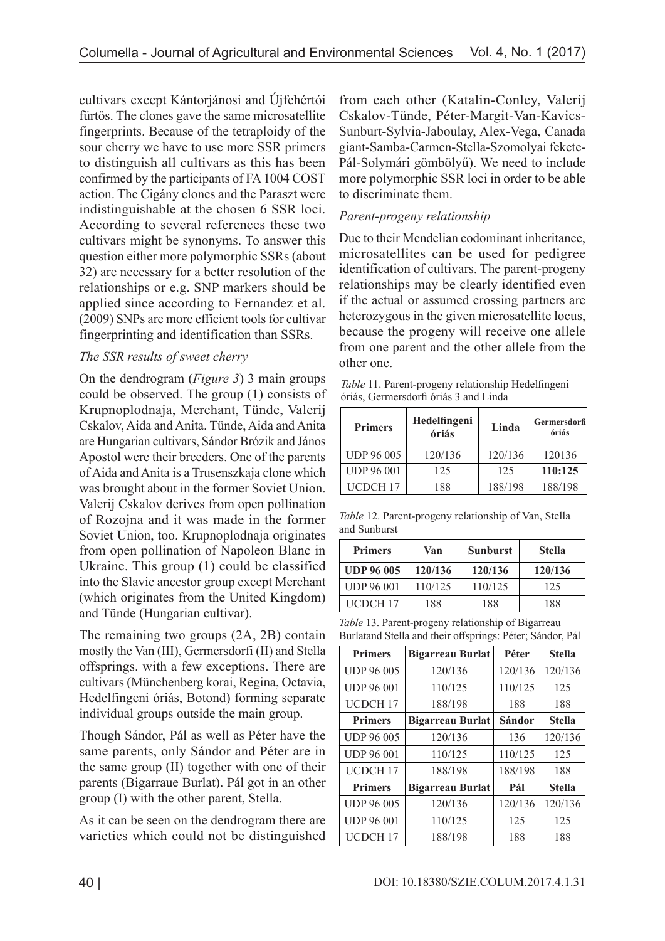cultivars except Kántorjánosi and Újfehértói fürtös. The clones gave the same microsatellite fingerprints. Because of the tetraploidy of the sour cherry we have to use more SSR primers to distinguish all cultivars as this has been confirmed by the participants of FA 1004 COST action. The Cigány clones and the Paraszt were indistinguishable at the chosen 6 SSR loci. According to several references these two cultivars might be synonyms. To answer this question either more polymorphic SSRs (about 32) are necessary for a better resolution of the relationships or e.g. SNP markers should be applied since according to Fernandez et al. (2009) SNPs are more efficient tools for cultivar fingerprinting and identification than SSRs.

### *The SSR results of sweet cherry*

On the dendrogram (*Figure 3*) 3 main groups could be observed. The group (1) consists of Krupnoplodnaja, Merchant, Tünde, Valerij Cskalov, Aida and Anita. Tünde, Aida and Anita are Hungarian cultivars, Sándor Brózik and János Apostol were their breeders. One of the parents of Aida and Anita is a Trusenszkaja clone which was brought about in the former Soviet Union. Valerij Cskalov derives from open pollination of Rozojna and it was made in the former Soviet Union, too. Krupnoplodnaja originates from open pollination of Napoleon Blanc in Ukraine. This group (1) could be classified into the Slavic ancestor group except Merchant (which originates from the United Kingdom) and Tünde (Hungarian cultivar).

The remaining two groups (2A, 2B) contain mostly the Van (III), Germersdorfi (II) and Stella offsprings. with a few exceptions. There are cultivars (Münchenberg korai, Regina, Octavia, Hedelfingeni óriás, Botond) forming separate individual groups outside the main group.

Though Sándor, Pál as well as Péter have the same parents, only Sándor and Péter are in the same group (II) together with one of their parents (Bigarraue Burlat). Pál got in an other group (I) with the other parent, Stella.

As it can be seen on the dendrogram there are varieties which could not be distinguished from each other (Katalin-Conley, Valerij Cskalov-Tünde, Péter-Margit-Van-Kavics-Sunburt-Sylvia-Jaboulay, Alex-Vega, Canada giant-Samba-Carmen-Stella-Szomolyai fekete-Pál-Solymári gömbölyű). We need to include more polymorphic SSR loci in order to be able to discriminate them.

## *Parent-progeny relationship*

Due to their Mendelian codominant inheritance, microsatellites can be used for pedigree identification of cultivars. The parent-progeny relationships may be clearly identified even if the actual or assumed crossing partners are heterozygous in the given microsatellite locus, because the progeny will receive one allele from one parent and the other allele from the other one.

*Table* 11. Parent-progeny relationship Hedelfingeni óriás, Germersdorfi óriás 3 and Linda

| <b>Primers</b>    | Hedelfingeni<br>óriás | Linda   | Germersdorfil<br>óriás |
|-------------------|-----------------------|---------|------------------------|
| <b>UDP 96 005</b> | 120/136               | 120/136 | 120136                 |
| <b>UDP 96 001</b> | 125                   | 125     | 110:125                |
| UCDCH 17          | 188                   | 188/198 | 188/198                |

*Table* 12. Parent-progeny relationship of Van, Stella and Sunburst

| <b>Primers</b>    | Van     | <b>Sunburst</b> | <b>Stella</b> |
|-------------------|---------|-----------------|---------------|
| <b>UDP 96 005</b> | 120/136 | 120/136         | 120/136       |
| <b>UDP 96 001</b> | 110/125 | 110/125         | 125           |
| UCDCH 17          | 188     | 188             | 188           |

*Table* 13. Parent-progeny relationship of Bigarreau Burlatand Stella and their offsprings: Péter; Sándor, Pál

| <b>Primers</b>      | <b>Bigarreau Burlat</b> | Péter   | <b>Stella</b> |
|---------------------|-------------------------|---------|---------------|
| <b>UDP 96 005</b>   | 120/136                 | 120/136 | 120/136       |
| <b>UDP 96 001</b>   | 110/125                 | 110/125 | 125           |
| UCDCH <sub>17</sub> | 188/198                 | 188     | 188           |
| <b>Primers</b>      | <b>Bigarreau Burlat</b> | Sándor  | <b>Stella</b> |
| <b>UDP 96 005</b>   | 120/136                 | 136     | 120/136       |
| <b>UDP 96 001</b>   | 110/125                 | 110/125 | 125           |
| <b>UCDCH17</b>      | 188/198                 | 188/198 | 188           |
| <b>Primers</b>      | <b>Bigarreau Burlat</b> | Pál     | <b>Stella</b> |
| <b>UDP 96 005</b>   | 120/136                 | 120/136 | 120/136       |
| <b>UDP 96 001</b>   | 110/125                 | 125     | 125           |
| <b>UCDCH17</b>      | 188/198                 | 188     | 188           |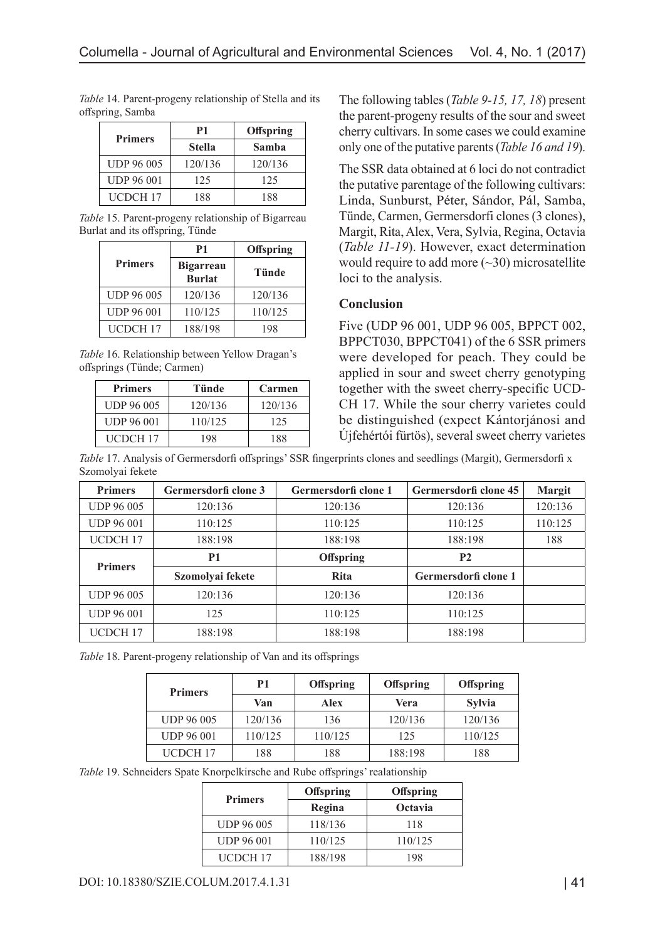| <b>Primers</b>    | P1            | <b>Offspring</b> |
|-------------------|---------------|------------------|
|                   | <b>Stella</b> | Samba            |
| <b>UDP 96 005</b> | 120/136       | 120/136          |
| <b>UDP 96 001</b> | 125           | 125              |
| <b>UCDCH 17</b>   | 188           | 188              |

*Table* 14. Parent-progeny relationship of Stella and its offspring, Samba

*Table* 15. Parent-progeny relationship of Bigarreau Burlat and its offspring, Tünde

|                   | P <sub>1</sub>                    | Offspring    |
|-------------------|-----------------------------------|--------------|
| <b>Primers</b>    | <b>Bigarreau</b><br><b>Burlat</b> | <b>Tünde</b> |
| <b>UDP 96 005</b> | 120/136                           | 120/136      |
| <b>UDP 96 001</b> | 110/125                           | 110/125      |
| <b>UCDCH17</b>    | 188/198                           | 198          |

*Table* 16. Relationship between Yellow Dragan's offsprings (Tünde; Carmen)

| <b>Primers</b>    | Tünde   | Carmen  |
|-------------------|---------|---------|
| <b>UDP 96 005</b> | 120/136 | 120/136 |
| <b>UDP 96 001</b> | 110/125 | 125     |
| <b>UCDCH 17</b>   | 198     | 188     |

The following tables (*Table 9-15, 17, 18*) present the parent-progeny results of the sour and sweet cherry cultivars. In some cases we could examine only one of the putative parents (*Table 16 and 19*).

The SSR data obtained at 6 loci do not contradict the putative parentage of the following cultivars: Linda, Sunburst, Péter, Sándor, Pál, Samba, Tünde, Carmen, Germersdorfi clones (3 clones), Margit, Rita, Alex, Vera, Sylvia, Regina, Octavia (*Table 11-19*). However, exact determination would require to add more  $(\sim 30)$  microsatellite loci to the analysis.

### **Conclusion**

Five (UDP 96 001, UDP 96 005, BPPCT 002, BPPCT030, BPPCT041) of the 6 SSR primers were developed for peach. They could be applied in sour and sweet cherry genotyping together with the sweet cherry-specific UCD-CH 17. While the sour cherry varietes could be distinguished (expect Kántorjánosi and Újfehértói fürtös), several sweet cherry varietes

*Table* 17. Analysis of Germersdorfi offsprings' SSR fingerprints clones and seedlings (Margit), Germersdorfi x Szomolyai fekete

| <b>Primers</b>      | Germersdorfi clone 3 | Germersdorfi clone 1 | Germersdorfi clone 45 | <b>Margit</b> |
|---------------------|----------------------|----------------------|-----------------------|---------------|
| <b>UDP 96 005</b>   | 120:136              | 120:136              | 120:136               | 120:136       |
| <b>UDP 96 001</b>   | 110:125              | 110:125              | 110:125               | 110:125       |
| UCDCH <sub>17</sub> | 188:198              | 188:198              | 188:198               | 188           |
| <b>Primers</b>      | <b>P1</b>            | <b>Offspring</b>     | <b>P2</b>             |               |
|                     | Szomolyai fekete     | <b>Rita</b>          | Germersdorfi clone 1  |               |
| <b>UDP 96 005</b>   | 120:136              | 120:136              | 120:136               |               |
| <b>UDP 96 001</b>   | 125                  | 110:125              | 110:125               |               |
| UCDCH <sub>17</sub> | 188:198              | 188:198              | 188:198               |               |

|  |  | Table 18. Parent-progeny relationship of Van and its offsprings |  |
|--|--|-----------------------------------------------------------------|--|
|--|--|-----------------------------------------------------------------|--|

| <b>Primers</b>    | P1      | <b>Offspring</b> | <b>Offspring</b> | Offspring     |
|-------------------|---------|------------------|------------------|---------------|
|                   | Van     | Alex             | Vera             | <b>Sylvia</b> |
| <b>UDP 96 005</b> | 120/136 | 136              | 120/136          | 120/136       |
| <b>UDP 96 001</b> | 110/125 | 110/125          | 125              | 110/125       |
| UCDCH 17          | 188     | 188              | 188:198          | 188           |

*Table* 19. Schneiders Spate Knorpelkirsche and Rube offsprings' realationship

| <b>Primers</b>    | Offspring | Offspring |
|-------------------|-----------|-----------|
|                   | Regina    | Octavia   |
| <b>UDP 96 005</b> | 118/136   | 118       |
| <b>UDP 96 001</b> | 110/125   | 110/125   |
| UCDCH 17          | 188/198   | 198       |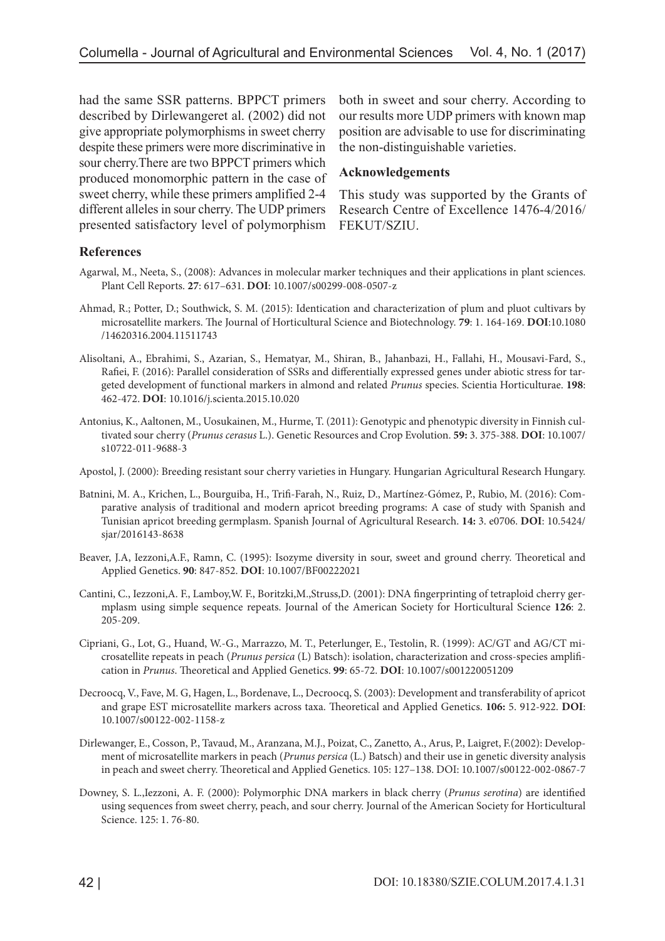had the same SSR patterns. BPPCT primers described by Dirlewangeret al. (2002) did not give appropriate polymorphisms in sweet cherry despite these primers were more discriminative in sour cherry.There are two BPPCT primers which produced monomorphic pattern in the case of sweet cherry, while these primers amplified 2-4 different alleles in sour cherry. The UDP primers presented satisfactory level of polymorphism

both in sweet and sour cherry. According to our results more UDP primers with known map position are advisable to use for discriminating the non-distinguishable varieties.

#### **Acknowledgements**

This study was supported by the Grants of Research Centre of Excellence 1476-4/2016/ FEKUT/SZIU.

#### **References**

- Agarwal, M., Neeta, S., (2008): Advances in molecular marker techniques and their applications in plant sciences. Plant Cell Reports. **27**: 617–631. **DOI**: 10.1007/s00299-008-0507-z
- Ahmad, R.; Potter, D.; Southwick, S. M. (2015): Identication and characterization of plum and pluot cultivars by microsatellite markers. The Journal of Horticultural Science and Biotechnology. **79**: 1. 164-169. **DOI**:10.1080 /14620316.2004.11511743
- Alisoltani, A., Ebrahimi, S., Azarian, S., Hematyar, M., Shiran, B., Jahanbazi, H., Fallahi, H., Mousavi-Fard, S., Rafiei, F. (2016): Parallel consideration of SSRs and differentially expressed genes under abiotic stress for targeted development of functional markers in almond and related *Prunus* species. Scientia Horticulturae. **198**: 462-472. **DOI**: 10.1016/j.scienta.2015.10.020
- Antonius, K., Aaltonen, M., Uosukainen, M., Hurme, T. (2011): Genotypic and phenotypic diversity in Finnish cultivated sour cherry (*Prunus cerasus* L.). Genetic Resources and Crop Evolution. **59:** 3. 375-388. **DOI**: 10.1007/ s10722-011-9688-3
- Apostol, J. (2000): Breeding resistant sour cherry varieties in Hungary. Hungarian Agricultural Research Hungary.
- Batnini, M. A., Krichen, L., Bourguiba, H., Trifi-Farah, N., Ruiz, D., Martínez-Gómez, P., Rubio, M. (2016): Comparative analysis of traditional and modern apricot breeding programs: A case of study with Spanish and Tunisian apricot breeding germplasm. Spanish Journal of Agricultural Research. **14:** 3. e0706. **DOI**: 10.5424/ sjar/2016143-8638
- Beaver, J.A, Iezzoni,A.F., Ramn, C. (1995): Isozyme diversity in sour, sweet and ground cherry. Theoretical and Applied Genetics. **90**: 847-852. **DOI**: 10.1007/BF00222021
- Cantini, C., Iezzoni,A. F., Lamboy,W. F., Boritzki,M.,Struss,D. (2001): DNA fingerprinting of tetraploid cherry germplasm using simple sequence repeats. Journal of the American Society for Horticultural Science **126**: 2. 205-209.
- Cipriani, G., Lot, G., Huand, W.-G., Marrazzo, M. T., Peterlunger, E., Testolin, R. (1999): AC/GT and AG/CT microsatellite repeats in peach (*Prunus persica* (L) Batsch): isolation, characterization and cross-species amplification in *Prunus*. Theoretical and Applied Genetics. **99**: 65-72. **DOI**: 10.1007/s001220051209
- Decroocq, V., Fave, M. G, Hagen, L., Bordenave, L., Decroocq, S. (2003): Development and transferability of apricot and grape EST microsatellite markers across taxa. Theoretical and Applied Genetics. **106:** 5. 912-922. **DOI**: 10.1007/s00122-002-1158-z
- Dirlewanger, E., Cosson, P., Tavaud, M., Aranzana, M.J., Poizat, C., Zanetto, A., Arus, P., Laigret, F.(2002): Development of microsatellite markers in peach (*Prunus persica* (L.) Batsch) and their use in genetic diversity analysis in peach and sweet cherry. Theoretical and Applied Genetics. 105: 127–138. DOI: 10.1007/s00122-002-0867-7
- Downey, S. L.,Iezzoni, A. F. (2000): Polymorphic DNA markers in black cherry (*Prunus serotina*) are identified using sequences from sweet cherry, peach, and sour cherry. Journal of the American Society for Horticultural Science. 125: 1. 76-80.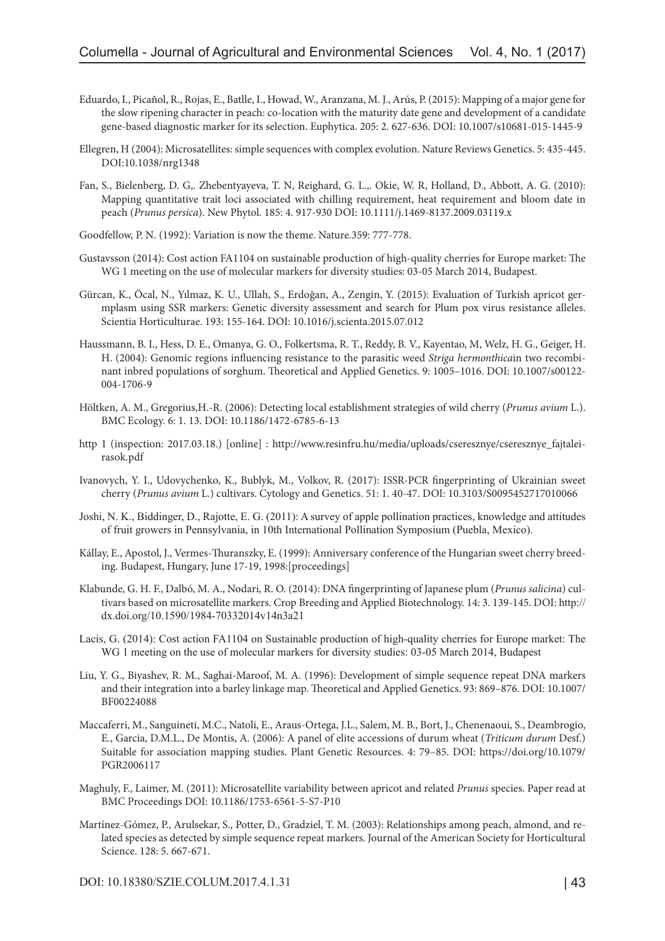- Eduardo, I., Picañol, R., Rojas, E., Batlle, I., Howad, W., Aranzana, M. J., Arús, P. (2015): Mapping of a major gene for the slow ripening character in peach: co-location with the maturity date gene and development of a candidate gene-based diagnostic marker for its selection. Euphytica. 205: 2. 627-636. DOI: 10.1007/s10681-015-1445-9
- Ellegren, H (2004): Microsatellites: simple sequences with complex evolution. Nature Reviews Genetics. 5: 435-445. DOI:10.1038/nrg1348
- Fan, S., Bielenberg, D. G,. Zhebentyayeva, T. N, Reighard, G. L.,. Okie, W. R, Holland, D., Abbott, A. G. (2010): Mapping quantitative trait loci associated with chilling requirement, heat requirement and bloom date in peach (*Prunus persica*). New Phytol. 185: 4. 917-930 DOI: 10.1111/j.1469-8137.2009.03119.x
- Goodfellow, P. N. (1992): Variation is now the theme. Nature.359: 777-778.
- Gustavsson (2014): Cost action FA1104 on sustainable production of high-quality cherries for Europe market: The WG 1 meeting on the use of molecular markers for diversity studies: 03-05 March 2014, Budapest.
- Gürcan, K., Öcal, N., Yılmaz, K. U., Ullah, S., Erdoğan, A., Zengin, Y. (2015): Evaluation of Turkish apricot germplasm using SSR markers: Genetic diversity assessment and search for Plum pox virus resistance alleles. Scientia Horticulturae. 193: 155-164. DOI: 10.1016/j.scienta.2015.07.012
- Haussmann, B. I., Hess, D. E., Omanya, G. O., Folkertsma, R. T., Reddy, B. V., Kayentao, M, Welz, H. G., Geiger, H. H. (2004): Genomic regions influencing resistance to the parasitic weed *Striga hermonthica*in two recombinant inbred populations of sorghum. Theoretical and Applied Genetics. 9: 1005–1016. DOI: 10.1007/s00122- 004-1706-9
- Höltken, A. M., Gregorius,H.-R. (2006): Detecting local establishment strategies of wild cherry (*Prunus avium* L.). BMC Ecology. 6: 1. 13. DOI: 10.1186/1472-6785-6-13
- http 1 (inspection: 2017.03.18.) [online] : [http://www.resinfru.hu/media/uploads/cseresznye/cseresznye\\_fajtalei](http://www.resinfru.hu/media/uploads/cseresznye/cseresznye_fajtaleirasok.pdf)[rasok.pdf](http://www.resinfru.hu/media/uploads/cseresznye/cseresznye_fajtaleirasok.pdf)
- Ivanovych, Y. I., Udovychenko, K., Bublyk, M., Volkov, R. (2017): ISSR-PCR fingerprinting of Ukrainian sweet cherry (*Prunus avium* L.) cultivars. Cytology and Genetics. 51: 1. 40-47. DOI: 10.3103/S0095452717010066
- Joshi, N. K., Biddinger, D., Rajotte, E. G. (2011): A survey of apple pollination practices, knowledge and attitudes of fruit growers in Pennsylvania, in 10th International Pollination Symposium (Puebla, Mexico).
- Kállay, E., Apostol, J., Vermes-Thuranszky, E. (1999): Anniversary conference of the Hungarian sweet cherry breeding. Budapest, Hungary, June 17-19, 1998:[proceedings]
- Klabunde, G. H. F., Dalbó, M. A., Nodari, R. O. (2014): DNA fingerprinting of Japanese plum (*Prunus salicina*) cultivars based on microsatellite markers. Crop Breeding and Applied Biotechnology. 14: 3. 139-145. DOI: http:// dx.doi.org/10.1590/1984-70332014v14n3a21
- Lacis, G. (2014): Cost action FA1104 on Sustainable production of high-quality cherries for Europe market: The WG 1 meeting on the use of molecular markers for diversity studies: 03-05 March 2014, Budapest
- Liu, Y. G., Biyashev, R. M., Saghai-Maroof, M. A. (1996): Development of simple sequence repeat DNA markers and their integration into a barley linkage map. Theoretical and Applied Genetics. 93: 869–876. DOI: 10.1007/ BF00224088
- Maccaferri, M., Sanguineti, M.C., Natoli, E., Araus-Ortega, J.L., Salem, M. B., Bort, J., Chenenaoui, S., Deambrogio, E., Garcia, D.M.L., De Montis, A. (2006): A panel of elite accessions of durum wheat (*Triticum durum* Desf.) Suitable for association mapping studies. Plant Genetic Resources. 4: 79–85. DOI: [https://doi.org/10.1079/](https://doi.org/10.1079/PGR2006117) [PGR2006117](https://doi.org/10.1079/PGR2006117)
- Maghuly, F., Laimer, M. (2011): Microsatellite variability between apricot and related *Prunus* species. Paper read at BMC Proceedings DOI: 10.1186/1753-6561-5-S7-P10
- Martínez-Gómez, P., Arulsekar, S., Potter, D., Gradziel, T. M. (2003): Relationships among peach, almond, and related species as detected by simple sequence repeat markers. Journal of the American Society for Horticultural Science. 128: 5. 667-671.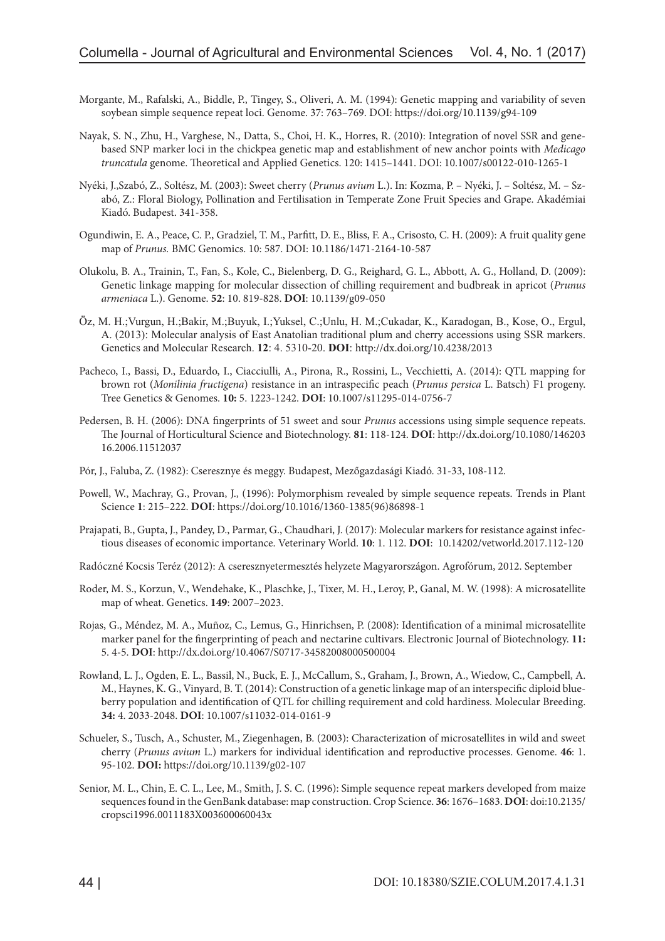- Morgante, M., Rafalski, A., Biddle, P., Tingey, S., Oliveri, A. M. (1994): Genetic mapping and variability of seven soybean simple sequence repeat loci. Genome. 37: 763–769. DOI:<https://doi.org/10.1139/g94-109>
- Nayak, S. N., Zhu, H., Varghese, N., Datta, S., Choi, H. K., Horres, R. (2010): Integration of novel SSR and genebased SNP marker loci in the chickpea genetic map and establishment of new anchor points with *Medicago truncatula* genome. Theoretical and Applied Genetics. 120: 1415–1441. DOI: 10.1007/s00122-010-1265-1
- Nyéki, J.,Szabó, Z., Soltész, M. (2003): Sweet cherry (*Prunus avium* L.). In: Kozma, P. Nyéki, J. Soltész, M. Szabó, Z.: Floral Biology, Pollination and Fertilisation in Temperate Zone Fruit Species and Grape. Akadémiai Kiadó. Budapest. 341-358.
- Ogundiwin, E. A., Peace, C. P., Gradziel, T. M., Parfitt, D. E., Bliss, F. A., Crisosto, C. H. (2009): A fruit quality gene map of *Prunus.* BMC Genomics. 10: 587. DOI: 10.1186/1471-2164-10-587
- Olukolu, B. A., Trainin, T., Fan, S., Kole, C., Bielenberg, D. G., Reighard, G. L., Abbott, A. G., Holland, D. (2009): Genetic linkage mapping for molecular dissection of chilling requirement and budbreak in apricot (*Prunus armeniaca* L.). Genome. **52**: 10. 819-828. **DOI**: 10.1139/g09-050
- Öz, M. H.;Vurgun, H.;Bakir, M.;Buyuk, I.;Yuksel, C.;Unlu, H. M.;Cukadar, K., Karadogan, B., Kose, O., Ergul, A. (2013): Molecular analysis of East Anatolian traditional plum and cherry accessions using SSR markers. Genetics and Molecular Research. **12**: 4. 5310-20. **DOI**: <http://dx.doi.org/10.4238/2013>
- Pacheco, I., Bassi, D., Eduardo, I., Ciacciulli, A., Pirona, R., Rossini, L., Vecchietti, A. (2014): QTL mapping for brown rot (*Monilinia fructigena*) resistance in an intraspecific peach (*Prunus persica* L. Batsch) F1 progeny. Tree Genetics & Genomes. **10:** 5. 1223-1242. **DOI**: 10.1007/s11295-014-0756-7
- Pedersen, B. H. (2006): DNA fingerprints of 51 sweet and sour *Prunus* accessions using simple sequence repeats. The Journal of Horticultural Science and Biotechnology. **81**: 118-124. **DOI**: [http://dx.doi.org/10.1080/146203](http://dx.doi.org/10.1080/14620316.2006.11512037) [16.2006.11512037](http://dx.doi.org/10.1080/14620316.2006.11512037)
- Pór, J., Faluba, Z. (1982): Cseresznye és meggy. Budapest, Mezőgazdasági Kiadó. 31-33, 108-112.
- Powell, W., Machray, G., Provan, J., (1996): Polymorphism revealed by simple sequence repeats. Trends in Plant Science **1**: 215–222. **DOI**: [https://doi.org/10.1016/1360-1385\(96\)86898-1](https://doi.org/10.1016/1360-1385%2896%2986898-1)
- Prajapati, B., Gupta, J., Pandey, D., Parmar, G., Chaudhari, J. (2017): Molecular markers for resistance against infectious diseases of economic importance. Veterinary World. **10**: 1. 112. **DOI**:  [10.14202/vetworld.2017.112-120](https://dx.doi.org/10.14202%2Fvetworld.2017.112-120)
- Radóczné Kocsis Teréz (2012): A cseresznyetermesztés helyzete Magyarországon. Agrofórum, 2012. September
- Roder, M. S., Korzun, V., Wendehake, K., Plaschke, J., Tixer, M. H., Leroy, P., Ganal, M. W. (1998): A microsatellite map of wheat. Genetics. **149**: 2007–2023.
- Rojas, G., Méndez, M. A., Muñoz, C., Lemus, G., Hinrichsen, P. (2008): Identification of a minimal microsatellite marker panel for the fingerprinting of peach and nectarine cultivars. Electronic Journal of Biotechnology. **11:** 5. 4-5. **DOI**: http://dx.doi.org/10.4067/S0717-34582008000500004
- Rowland, L. J., Ogden, E. L., Bassil, N., Buck, E. J., McCallum, S., Graham, J., Brown, A., Wiedow, C., Campbell, A. M., Haynes, K. G., Vinyard, B. T. (2014): Construction of a genetic linkage map of an interspecific diploid blueberry population and identification of QTL for chilling requirement and cold hardiness. Molecular Breeding. **34:** 4. 2033-2048. **DOI**: 10.1007/s11032-014-0161-9
- Schueler, S., Tusch, A., Schuster, M., Ziegenhagen, B. (2003): Characterization of microsatellites in wild and sweet cherry (*Prunus avium* L.) markers for individual identification and reproductive processes. Genome. **46**: 1. 95-102. **DOI:** <https://doi.org/10.1139/g02-107>
- Senior, M. L., Chin, E. C. L., Lee, M., Smith, J. S. C. (1996): Simple sequence repeat markers developed from maize sequences found in the GenBank database: map construction. Crop Science. **36**: 1676–1683. **DOI**: doi:10.2135/ cropsci1996.0011183X003600060043x